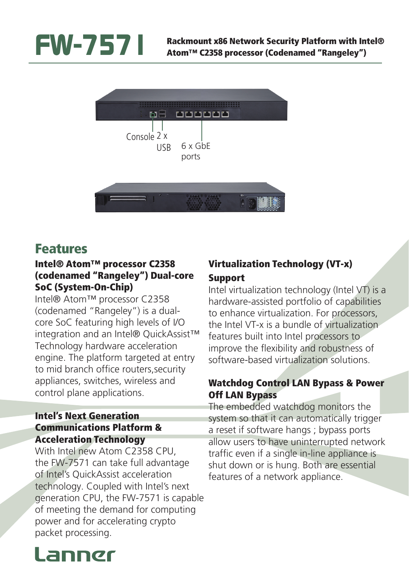



## Features

#### Intel® Atom™ processor C2358 (codenamed "Rangeley") Dual-core SoC (System-On-Chip)

Intel® Atom™ processor C2358 (codenamed "Rangeley") is a dualcore SoC featuring high levels of I/O integration and an Intel® QuickAssist™ Technology hardware acceleration engine. The platform targeted at entry to mid branch office routers,security appliances, switches, wireless and control plane applications.

#### Intel's Next Generation Communications Platform & Acceleration Technology

With Intel new Atom C2358 CPU, the FW-7571 can take full advantage of Intel's QuickAssist acceleration technology. Coupled with Intel's next generation CPU, the FW-7571 is capable of meeting the demand for computing power and for accelerating crypto packet processing.

### Virtualization Technology (VT-x) Support

Intel virtualization technology (Intel VT) is a hardware-assisted portfolio of capabilities to enhance virtualization. For processors, the Intel VT-x is a bundle of virtualization features built into Intel processors to improve the flexibility and robustness of software-based virtualization solutions.

#### Watchdog Control LAN Bypass & Power Off LAN Bypass

The embedded watchdog monitors the system so that it can automatically trigger a reset if software hangs ; bypass ports allow users to have uninterrupted network traffic even if a single in-line appliance is shut down or is hung. Both are essential features of a network appliance.

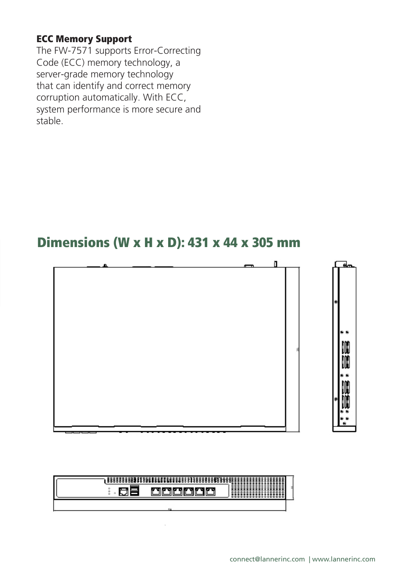#### ECC Memory Support

The FW-7571 supports Error-Correcting Code (ECC) memory technology, a server-grade memory technology that can identify and correct memory corruption automatically. With ECC, system performance is more secure and stable.

### Dimensions (W x H x D): 431 x 44 x 305 mm



| $\overline{\phantom{a}}$ |  |  |
|--------------------------|--|--|
|                          |  |  |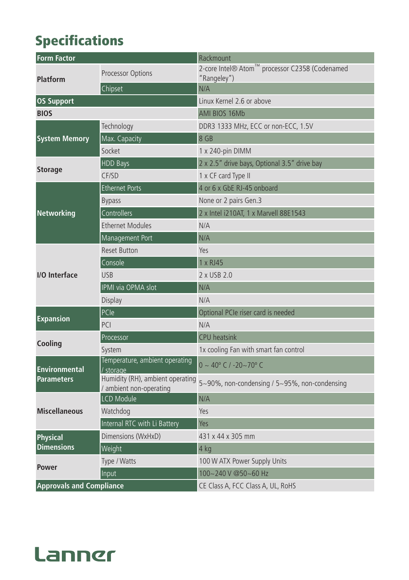# Specifications

| <b>Form Factor</b>              |                                                             | Rackmount                                                     |  |
|---------------------------------|-------------------------------------------------------------|---------------------------------------------------------------|--|
| Platform                        | Processor Options                                           | 2-core Intel® Atom™ processor C2358 (Codenamed<br>"Rangeley") |  |
|                                 | Chipset                                                     | N/A                                                           |  |
| <b>OS Support</b>               |                                                             | Linux Kernel 2.6 or above                                     |  |
| <b>BIOS</b>                     |                                                             | AMI BIOS 16Mb                                                 |  |
|                                 | Technology                                                  | DDR3 1333 MHz, ECC or non-ECC, 1.5V                           |  |
| <b>System Memory</b>            | Max. Capacity                                               | 8 GB                                                          |  |
|                                 | Socket                                                      | 1 x 240-pin DIMM                                              |  |
|                                 | <b>HDD Bays</b>                                             | 2 x 2.5" drive bays, Optional 3.5" drive bay                  |  |
| <b>Storage</b>                  | CF/SD                                                       | 1 x CF card Type II                                           |  |
|                                 | <b>Ethernet Ports</b>                                       | 4 or 6 x GbE RJ-45 onboard                                    |  |
|                                 | <b>Bypass</b>                                               | None or 2 pairs Gen.3                                         |  |
| Networking                      | Controllers                                                 | 2 x Intel i210AT, 1 x Marvell 88E1543                         |  |
|                                 | <b>Ethernet Modules</b>                                     | N/A                                                           |  |
|                                 | Management Port                                             | N/A                                                           |  |
|                                 | <b>Reset Button</b>                                         | Yes                                                           |  |
|                                 | Console                                                     | 1 x RJ45                                                      |  |
| I/O Interface                   | <b>USB</b>                                                  | 2 x USB 2.0                                                   |  |
|                                 | IPMI via OPMA slot                                          | N/A                                                           |  |
|                                 | <b>Display</b>                                              | N/A                                                           |  |
|                                 | PCle                                                        | Optional PCIe riser card is needed                            |  |
| <b>Expansion</b>                | PCI                                                         | N/A                                                           |  |
|                                 | Processor                                                   | <b>CPU</b> heatsink                                           |  |
| Cooling                         | System                                                      | 1x cooling Fan with smart fan control                         |  |
| <b>Environmental</b>            | Temperature, ambient operating<br>/ storage                 | $0 \sim 40^{\circ}$ C / -20~70° C                             |  |
| <b>Parameters</b>               | Humidity (RH), ambient operating<br>/ ambient non-operating | 5~90%, non-condensing / 5~95%, non-condensing                 |  |
|                                 | <b>LCD Module</b>                                           | N/A                                                           |  |
| <b>Miscellaneous</b>            | Watchdog                                                    | Yes                                                           |  |
|                                 | Internal RTC with Li Battery                                | Yes                                                           |  |
| Physical                        | Dimensions (WxHxD)                                          | 431 x 44 x 305 mm                                             |  |
| <b>Dimensions</b>               | Weight                                                      | 4 kg                                                          |  |
| <b>Power</b>                    | Type / Watts                                                | 100 W ATX Power Supply Units                                  |  |
|                                 | Input                                                       | 100~240 V @50~60 Hz                                           |  |
| <b>Approvals and Compliance</b> |                                                             | CE Class A, FCC Class A, UL, RoHS                             |  |